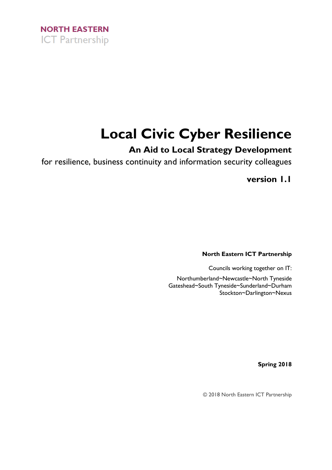

# **Local Civic Cyber Resilience**

# **An Aid to Local Strategy Development**

for resilience, business continuity and information security colleagues

**version 1.1**

**North Eastern ICT Partnership**

Councils working together on IT:

Northumberland~Newcastle~North Tyneside Gateshead~South Tyneside~Sunderland~Durham Stockton~Darlington~Nexus

**Spring 2018**

© 2018 North Eastern ICT Partnership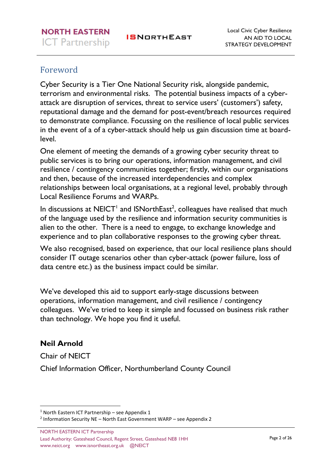# <span id="page-1-0"></span>Foreword

Cyber Security is a Tier One National Security risk, alongside pandemic, terrorism and environmental risks. The potential business impacts of a cyberattack are disruption of services, threat to service users' (customers') safety, reputational damage and the demand for post-event/breach resources required to demonstrate compliance. Focussing on the resilience of local public services in the event of a of a cyber-attack should help us gain discussion time at boardlevel.

One element of meeting the demands of a growing cyber security threat to public services is to bring our operations, information management, and civil resilience / contingency communities together; firstly, within our organisations and then, because of the increased interdependencies and complex relationships between local organisations, at a regional level, probably through Local Resilience Forums and WARPs.

In discussions at NEICT<sup>1</sup> and ISNorthEast<sup>2</sup>, colleagues have realised that much of the language used by the resilience and information security communities is alien to the other. There is a need to engage, to exchange knowledge and experience and to plan collaborative responses to the growing cyber threat.

We also recognised, based on experience, that our local resilience plans should consider IT outage scenarios other than cyber-attack (power failure, loss of data centre etc.) as the business impact could be similar.

We've developed this aid to support early-stage discussions between operations, information management, and civil resilience / contingency colleagues. We've tried to keep it simple and focussed on business risk rather than technology. We hope you find it useful.

### **Neil Arnold**

**.** 

Chair of NEICT

Chief Information Officer, Northumberland County Council

 $1$  North Eastern ICT Partnership – see Appendix 1

<sup>2</sup> Information Security NE - North East Government WARP - see Appendix 2

NORTH EASTERN ICT Partnership Lead Authority: Gateshead Council, Regent Street, Gateshead NE8 1HH www.neict.org www.isnortheast.org.uk @NEICT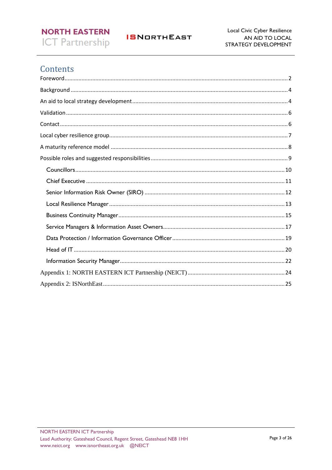# **NORTH EASTERN ICT Partnership**

Local Civic Cyber Resilience AN AID TO LOCAL STRATEGY DEVELOPMENT

# Contents

<span id="page-2-0"></span>

**ISNORTHEAST**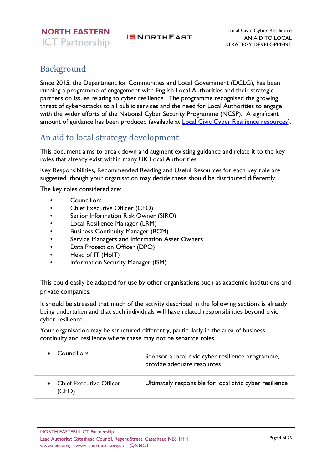# Background

Since 2015, the Department for Communities and Local Government [\(DCLG\)](https://www.gov.uk/government/organisations/department-for-communities-and-local-government), has been running a programme of engagement with English Local Authorities and their strategic partners on issues relating to cyber resilience. The programme recognised the growing threat of cyber-attacks to all public services and the need for Local Authorities to engage with the wider efforts of the National Cyber Security Programme (NCSP). A significant amount of guidance has been produced (available at [Local Civic Cyber Resilience resources\)](http://istanduk.org/cyber-resilience/).

# <span id="page-3-0"></span>An aid to local strategy development

This document aims to break down and augment existing guidance and relate it to the key roles that already exist within many UK Local Authorities.

Key Responsibilities, Recommended Reading and Useful Resources for each key role are suggested, though your organisation may decide these should be distributed differently.

The key roles considered are:

- **Councillors**
- Chief Executive Officer (CEO)
- Senior Information Risk Owner (SIRO)
- Local Resilience Manager (LRM)
- Business Continuity Manager (BCM)
- Service Managers and Information Asset Owners
- Data Protection Officer (DPO)
- Head of IT (HoIT)
- Information Security Manager (ISM)

This could easily be adapted for use by other organisations such as academic institutions and private companies.

It should be stressed that much of the activity described in the following sections is already being undertaken and that such individuals will have related responsibilities beyond civic cyber resilience.

Your organisation may be structured differently, particularly in the area of business continuity and resilience where these may not be separate roles.

| • Councillors                      | Sponsor a local civic cyber resilience programme,<br>provide adequate resources |
|------------------------------------|---------------------------------------------------------------------------------|
| • Chief Executive Officer<br>(CEO) | Ultimately responsible for local civic cyber resilience                         |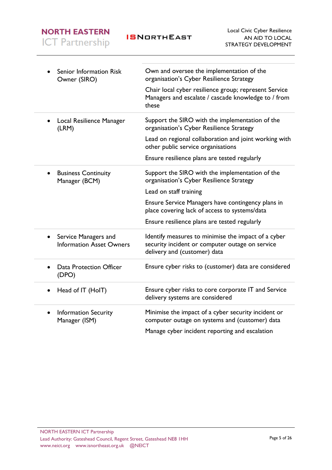**ISNORTHEAST** 

| Senior Information Risk<br>Owner (SIRO)                              | Own and oversee the implementation of the<br>organisation's Cyber Resilience Strategy                                                  |
|----------------------------------------------------------------------|----------------------------------------------------------------------------------------------------------------------------------------|
|                                                                      | Chair local cyber resilience group; represent Service<br>Managers and escalate / cascade knowledge to / from<br>these                  |
| Local Resilience Manager<br>$\bullet$<br>(LRM)                       | Support the SIRO with the implementation of the<br>organisation's Cyber Resilience Strategy                                            |
|                                                                      | Lead on regional collaboration and joint working with<br>other public service organisations                                            |
|                                                                      | Ensure resilience plans are tested regularly                                                                                           |
| <b>Business Continuity</b><br>$\bullet$<br>Manager (BCM)             | Support the SIRO with the implementation of the<br>organisation's Cyber Resilience Strategy                                            |
|                                                                      | Lead on staff training                                                                                                                 |
|                                                                      | Ensure Service Managers have contingency plans in<br>place covering lack of access to systems/data                                     |
|                                                                      | Ensure resilience plans are tested regularly                                                                                           |
| Service Managers and<br>$\bullet$<br><b>Information Asset Owners</b> | Identify measures to minimise the impact of a cyber<br>security incident or computer outage on service<br>delivery and (customer) data |
| <b>Data Protection Officer</b><br>(DPO)                              | Ensure cyber risks to (customer) data are considered                                                                                   |
| Head of IT (HoIT)<br>٠                                               | Ensure cyber risks to core corporate IT and Service<br>delivery systems are considered                                                 |
| <b>Information Security</b><br>$\bullet$<br>Manager (ISM)            | Minimise the impact of a cyber security incident or<br>computer outage on systems and (customer) data                                  |
|                                                                      | Manage cyber incident reporting and escalation                                                                                         |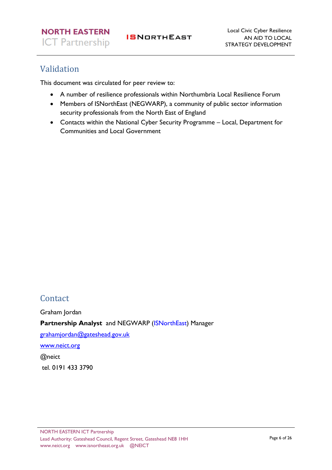# <span id="page-5-0"></span>Validation

This document was circulated for peer review to:

- A number of resilience professionals within Northumbria Local Resilience Forum
- Members of ISNorthEast (NEGWARP), a community of public sector information security professionals from the North East of England
- Contacts within the National Cyber Security Programme Local, Department for Communities and Local Government

# <span id="page-5-1"></span>Contact

Graham Jordan Partnership Analyst and NEGWARP [\(ISNorthEast\)](https://neict.org/isnortheast/) Manager [grahamjordan@gateshead.gov.uk](mailto:grahamjordan@gateshead.gov.uk) [www.neict.org](http://www.neict.org/) @neict tel. 0191 433 3790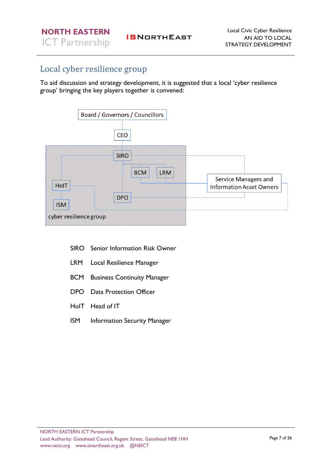# <span id="page-6-0"></span>Local cyber resilience group

To aid discussion and strategy development, it is suggested that a local 'cyber resilience group' bringing the key players together is convened:



- SIRO Senior Information Risk Owner
- LRM Local Resilience Manager
- BCM Business Continuity Manager
- DPO Data Protection Officer
- HoIT Head of IT
- ISM Information Security Manager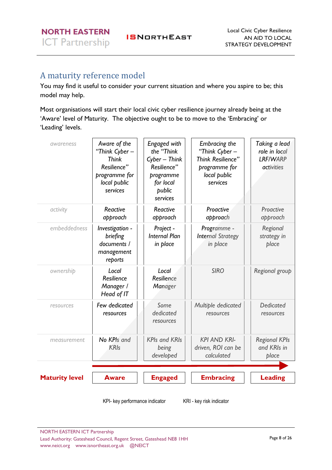# <span id="page-7-0"></span>A maturity reference model

You may find it useful to consider your current situation and where you aspire to be; this model may help.

Most organisations will start their local civic cyber resilience journey already being at the 'Aware' level of Maturity. The objective ought to be to move to the 'Embracing' or 'Leading' levels.

| awareness             | Aware of the<br>"Think Cyber -<br><b>Think</b><br>Resilience"<br>programme for<br>local public<br>services | Engaged with<br>the "Think<br>Cyber - Think<br>Resilience"<br>programme<br>for local<br>public<br>services | Embracing the<br>"Think Cyber -<br>Think Resilience"<br>programme for<br>local public<br>services | Taking a lead<br>role in local<br><b>LRF/WARP</b><br><i>activities</i> |
|-----------------------|------------------------------------------------------------------------------------------------------------|------------------------------------------------------------------------------------------------------------|---------------------------------------------------------------------------------------------------|------------------------------------------------------------------------|
| activity              | Reactive<br>approach                                                                                       | Reactive<br>approach                                                                                       | Proactive<br>approach                                                                             | Proactive<br>approach                                                  |
| embeddedness          | Investigation -<br>briefing<br>documents /<br>management<br>reports                                        | Project -<br><b>Internal Plan</b><br>in place                                                              | Programme -<br><b>Internal Strategy</b><br>in place                                               | Regional<br>strategy in<br>place                                       |
| ownership             | Local<br>Resilience<br>Manager /<br>Head of IT                                                             | Local<br>Resilience<br>Manager                                                                             | <b>SIRO</b>                                                                                       | Regional group                                                         |
| resources             | Few dedicated<br>resources                                                                                 | Some<br>dedicated<br>resources                                                                             | Multiple dedicated<br>resources                                                                   | Dedicated<br>resources                                                 |
| measurement           | No KPIs and<br><b>KRIs</b>                                                                                 | <b>KPIs and KRIs</b><br>being<br>developed                                                                 | <b>KPI AND KRI-</b><br>driven, ROI can be<br>calculated                                           | <b>Regional KPIs</b><br>and KRIs in<br>place                           |
| <b>Maturity level</b> | <b>Aware</b>                                                                                               | <b>Engaged</b>                                                                                             | <b>Embracing</b>                                                                                  | <b>Leading</b>                                                         |

KPI- key performance indicator KRI - key risk indicator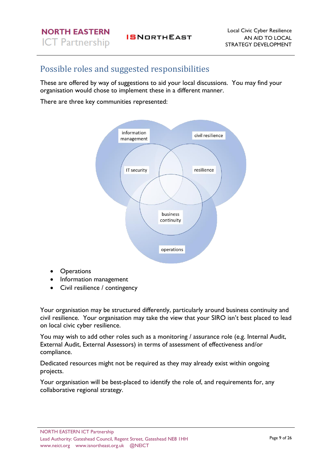# <span id="page-8-0"></span>Possible roles and suggested responsibilities

These are offered by way of suggestions to aid your local discussions. You may find your organisation would chose to implement these in a different manner.

There are three key communities represented:



- Operations
- Information management
- Civil resilience / contingency

Your organisation may be structured differently, particularly around business continuity and civil resilience. Your organisation may take the view that your SIRO isn't best placed to lead on local civic cyber resilience.

You may wish to add other roles such as a monitoring / assurance role (e.g. Internal Audit, External Audit, External Assessors) in terms of assessment of effectiveness and/or compliance.

Dedicated resources might not be required as they may already exist within ongoing projects.

Your organisation will be best-placed to identify the role of, and requirements for, any collaborative regional strategy.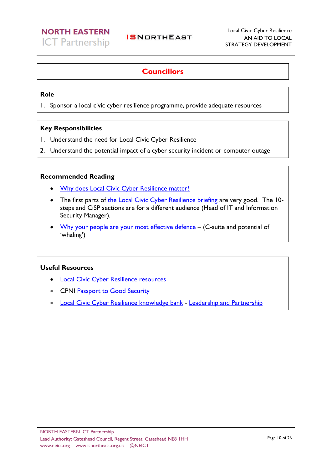### <span id="page-9-0"></span>**Councillors**

### **Role**

1. Sponsor a local civic cyber resilience programme, provide adequate resources

### **Key Responsibilities**

- 1. Understand the need for Local Civic Cyber Resilience
- 2. Understand the potential impact of a cyber security incident or computer outage

### **Recommended Reading**

- [Why does Local Civic Cyber Resilience matter?](http://istanduk.org/why-does-local-civic-cyber-resilience-matter/)
- The first parts of [the Local Civic Cyber Resilience briefing](https://www.gov.uk/government/uploads/system/uploads/attachment_data/file/429190/Understanding_local_cyber_resilience.pdf) are very good. The 10steps and CiSP sections are for a different audience (Head of IT and Information Security Manager).
- [Why your people are your most effective defence](http://protocolpolicy.com/wp-content/uploads/2017/10/Cyber-security-Why-your-people-are-your-most-effective-defence.pdf) (C-suite and potential of 'whaling')

- [Local Civic Cyber Resilience resources](http://istanduk.org/cyber-resilience/)
- **CPNI [Passport to Good Security](https://www.cpni.gov.uk/managing-my-asset/leadership-in-security/board-security-passport)**
- [Local Civic Cyber Resilience knowledge bank](http://istanduk.org/knowledge-bank/) [Leadership and Partnership](http://istanduk.org/leadership-and-partnerships/)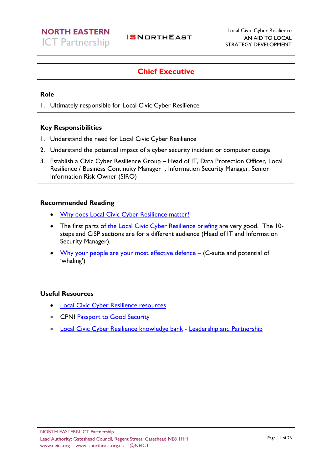### **Chief Executive**

### <span id="page-10-0"></span>**Role**

1. Ultimately responsible for Local Civic Cyber Resilience

### **Key Responsibilities**

- 1. Understand the need for Local Civic Cyber Resilience
- 2. Understand the potential impact of a cyber security incident or computer outage
- 3. Establish a Civic Cyber Resilience Group Head of IT, Data Protection Officer, Local Resilience / Business Continuity Manager , Information Security Manager, Senior Information Risk Owner (SIRO)

### **Recommended Reading**

- **[Why does Local Civic Cyber Resilience matter?](http://istanduk.org/why-does-local-civic-cyber-resilience-matter/)**
- The first parts of [the Local Civic Cyber Resilience briefing](https://www.gov.uk/government/uploads/system/uploads/attachment_data/file/429190/Understanding_local_cyber_resilience.pdf) are very good. The 10steps and CiSP sections are for a different audience (Head of IT and Information Security Manager).
- [Why your people are your most effective defence](http://protocolpolicy.com/wp-content/uploads/2017/10/Cyber-security-Why-your-people-are-your-most-effective-defence.pdf) (C-suite and potential of 'whaling')

- [Local Civic Cyber Resilience resources](http://istanduk.org/cyber-resilience/)
- CPNI [Passport to Good Security](https://www.cpni.gov.uk/managing-my-asset/leadership-in-security/board-security-passport)
- [Local Civic Cyber Resilience knowledge bank](http://istanduk.org/knowledge-bank/) [Leadership and Partnership](http://istanduk.org/leadership-and-partnerships/)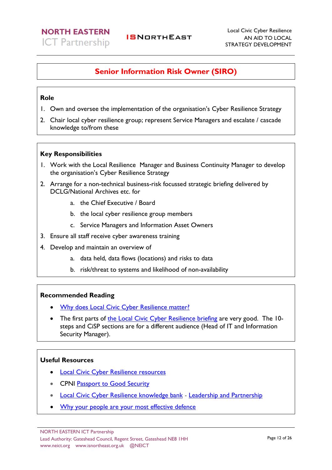### <span id="page-11-0"></span>**Senior Information Risk Owner (SIRO)**

### **Role**

- 1. Own and oversee the implementation of the organisation's Cyber Resilience Strategy
- 2. Chair local cyber resilience group; represent Service Managers and escalate / cascade knowledge to/from these

### **Key Responsibilities**

- 1. Work with the Local Resilience Manager and Business Continuity Manager to develop the organisation's Cyber Resilience Strategy
- 2. Arrange for a non-technical business-risk focussed strategic briefing delivered by DCLG/National Archives etc. for
	- a. the Chief Executive / Board
	- b. the local cyber resilience group members
	- c. Service Managers and Information Asset Owners
- 3. Ensure all staff receive cyber awareness training
- 4. Develop and maintain an overview of
	- a. data held, data flows (locations) and risks to data
	- b. risk/threat to systems and likelihood of non-availability

### **Recommended Reading**

- [Why does Local Civic Cyber Resilience matter?](http://istanduk.org/why-does-local-civic-cyber-resilience-matter/)
- The first parts of [the Local Civic Cyber Resilience briefing](https://www.gov.uk/government/uploads/system/uploads/attachment_data/file/429190/Understanding_local_cyber_resilience.pdf) are very good. The 10steps and CiSP sections are for a different audience (Head of IT and Information Security Manager).

- [Local Civic Cyber Resilience resources](http://istanduk.org/cyber-resilience/)
- CPNI [Passport to Good Security](https://www.cpni.gov.uk/managing-my-asset/leadership-in-security/board-security-passport)
- [Local Civic Cyber Resilience knowledge bank](http://istanduk.org/knowledge-bank/) [Leadership and Partnership](http://istanduk.org/leadership-and-partnerships/)
- [Why your people are your most effective defence](http://protocolpolicy.com/wp-content/uploads/2017/10/Cyber-security-Why-your-people-are-your-most-effective-defence.pdf)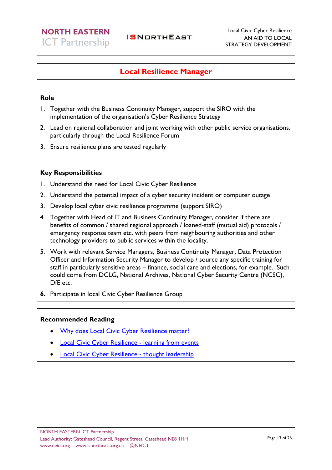### <span id="page-12-0"></span>**Local Resilience Manager**

#### **Role**

- 1. Together with the Business Continuity Manager, support the SIRO with the implementation of the organisation's Cyber Resilience Strategy
- 2. Lead on regional collaboration and joint working with other public service organisations, particularly through the Local Resilience Forum
- 3. Ensure resilience plans are tested regularly

### **Key Responsibilities**

- 1. Understand the need for Local Civic Cyber Resilience
- 2. Understand the potential impact of a cyber security incident or computer outage
- 3. Develop local cyber civic resilience programme (support SIRO)
- 4. Together with Head of IT and Business Continuity Manager, consider if there are benefits of common / shared regional approach / loaned-staff (mutual aid) protocols / emergency response team etc. with peers from neighbouring authorities and other technology providers to public services within the locality.
- 5. Work with relevant Service Managers, Business Continuity Manager, Data Protection Officer and Information Security Manager to develop / source any specific training for staff in particularly sensitive areas – finance, social care and elections, for example. Such could come from DCLG, National Archives, National Cyber Security Centre (NCSC), DfE etc.
- **6.** Participate in local Civic Cyber Resilience Group

#### **Recommended Reading**

- [Why does Local Civic Cyber Resilience matter?](http://istanduk.org/why-does-local-civic-cyber-resilience-matter/)
- **[Local Civic Cyber Resilience -](http://istanduk.org/regional-events/) learning from events**
- [Local Civic Cyber Resilience -](http://istanduk.org/windsor-consultations/) thought leadership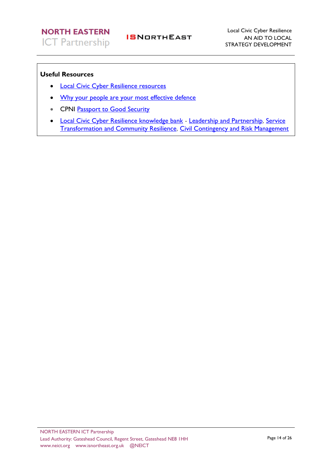- [Local Civic Cyber Resilience resources](http://istanduk.org/cyber-resilience/)
- [Why your people are your most effective defence](http://protocolpolicy.com/wp-content/uploads/2017/10/Cyber-security-Why-your-people-are-your-most-effective-defence.pdf)
- CPNI [Passport to Good Security](https://www.cpni.gov.uk/managing-my-asset/leadership-in-security/board-security-passport)
- [Local Civic Cyber Resilience knowledge bank](http://istanduk.org/knowledge-bank/) [Leadership and Partnership,](http://istanduk.org/leadership-and-partnerships/) [Service](http://istanduk.org/service-transformation-community-resilience/)  [Transformation and Community Resilience,](http://istanduk.org/service-transformation-community-resilience/) [Civil Contingency and Risk Management](http://istanduk.org/business-continuity-civil-contingency-risk-management/)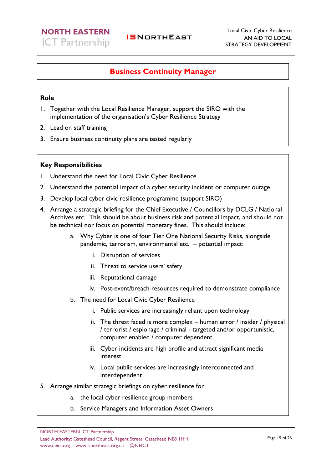### <span id="page-14-0"></span>**Business Continuity Manager**

**ISNORTHEAST** 

#### **Role**

- 1. Together with the Local Resilience Manager, support the SIRO with the implementation of the organisation's Cyber Resilience Strategy
- 2. Lead on staff training
- 3. Ensure business continuity plans are tested regularly

### **Key Responsibilities**

- 1. Understand the need for Local Civic Cyber Resilience
- 2. Understand the potential impact of a cyber security incident or computer outage
- 3. Develop local cyber civic resilience programme (support SIRO)
- 4. Arrange a strategic briefing for the Chief Executive / Councillors by DCLG / National Archives etc. This should be about business risk and potential impact, and should not be technical nor focus on potential monetary fines. This should include:
	- a. Why Cyber is one of four Tier One National Security Risks, alongside pandemic, terrorism, environmental etc. – potential impact:
		- i. Disruption of services
		- ii. Threat to service users' safety
		- iii. Reputational damage
		- iv. Post-event/breach resources required to demonstrate compliance
	- b. The need for Local Civic Cyber Resilience
		- i. Public services are increasingly reliant upon technology
		- ii. The threat faced is more complex  $-$  human error / insider / physical / terrorist / espionage / criminal - targeted and/or opportunistic, computer enabled / computer dependent
		- iii. Cyber incidents are high profile and attract significant media interest
		- iv. Local public services are increasingly interconnected and interdependent
- 5. Arrange similar strategic briefings on cyber resilience for
	- a. the local cyber resilience group members
	- b. Service Managers and Information Asset Owners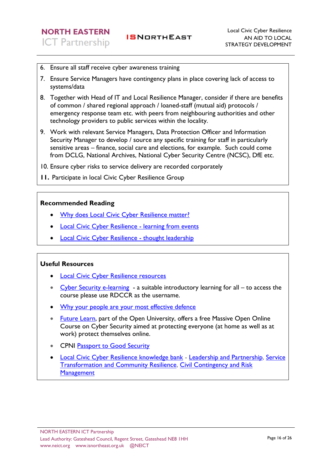- 6. Ensure all staff receive cyber awareness training
- 7. Ensure Service Managers have contingency plans in place covering lack of access to systems/data
- 8. Together with Head of IT and Local Resilience Manager, consider if there are benefits of common / shared regional approach / loaned-staff (mutual aid) protocols / emergency response team etc. with peers from neighbouring authorities and other technology providers to public services within the locality.
- 9. Work with relevant Service Managers, Data Protection Officer and Information Security Manager to develop / source any specific training for staff in particularly sensitive areas – finance, social care and elections, for example. Such could come from DCLG, National Archives, National Cyber Security Centre (NCSC), DfE etc.
- 10. Ensure cyber risks to service delivery are recorded corporately
- **11.** Participate in local Civic Cyber Resilience Group

### **Recommended Reading**

- [Why does Local Civic Cyber Resilience matter?](http://istanduk.org/why-does-local-civic-cyber-resilience-matter/)
- [Local Civic Cyber Resilience -](http://istanduk.org/regional-events/) learning from events
- [Local Civic Cyber Resilience -](http://istanduk.org/windsor-consultations/) thought leadership

- [Local Civic Cyber Resilience resources](http://istanduk.org/cyber-resilience/)
- [Cyber Security e-learning](http://www.icaew.com/emags/cyber_training/AC0_Cyber_Security/shell.html)  a suitable introductory learning for all to access the course please use RDCCR as the username.
- [Why your people are your most effective defence](http://protocolpolicy.com/wp-content/uploads/2017/10/Cyber-security-Why-your-people-are-your-most-effective-defence.pdf)
- [Future Learn,](https://www.futurelearn.com/courses/introduction-to-cyber-security) part of the Open University, offers a free Massive Open Online Course on Cyber Security aimed at protecting everyone (at home as well as at work) protect themselves online.
- CPNI [Passport to Good Security](https://www.cpni.gov.uk/managing-my-asset/leadership-in-security/board-security-passport)
- [Local Civic Cyber Resilience knowledge bank](http://istanduk.org/knowledge-bank/) [Leadership and Partnership,](http://istanduk.org/leadership-and-partnerships/) Service [Transformation and Community Resilience,](http://istanduk.org/service-transformation-community-resilience/) [Civil Contingency and Risk](http://istanduk.org/business-continuity-civil-contingency-risk-management/)  **[Management](http://istanduk.org/business-continuity-civil-contingency-risk-management/)**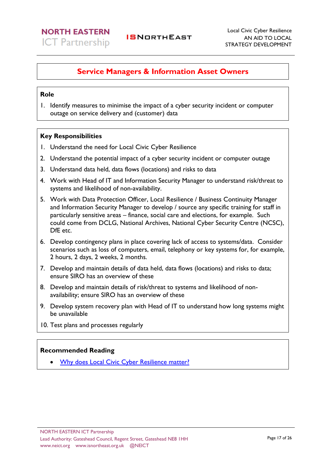### <span id="page-16-0"></span>**Service Managers & Information Asset Owners**

### **Role**

1. Identify measures to minimise the impact of a cyber security incident or computer outage on service delivery and (customer) data

### **Key Responsibilities**

- 1. Understand the need for Local Civic Cyber Resilience
- 2. Understand the potential impact of a cyber security incident or computer outage
- 3. Understand data held, data flows (locations) and risks to data
- 4. Work with Head of IT and Information Security Manager to understand risk/threat to systems and likelihood of non-availability.
- 5. Work with Data Protection Officer, Local Resilience / Business Continuity Manager and Information Security Manager to develop / source any specific training for staff in particularly sensitive areas – finance, social care and elections, for example. Such could come from DCLG, National Archives, National Cyber Security Centre (NCSC), DfE etc.
- 6. Develop contingency plans in place covering lack of access to systems/data. Consider scenarios such as loss of computers, email, telephony or key systems for, for example, 2 hours, 2 days, 2 weeks, 2 months.
- 7. Develop and maintain details of data held, data flows (locations) and risks to data; ensure SIRO has an overview of these
- 8. Develop and maintain details of risk/threat to systems and likelihood of nonavailability; ensure SIRO has an overview of these
- 9. Develop system recovery plan with Head of IT to understand how long systems might be unavailable
- 10. Test plans and processes regularly

### **Recommended Reading**

• [Why does Local Civic Cyber Resilience matter?](http://istanduk.org/why-does-local-civic-cyber-resilience-matter/)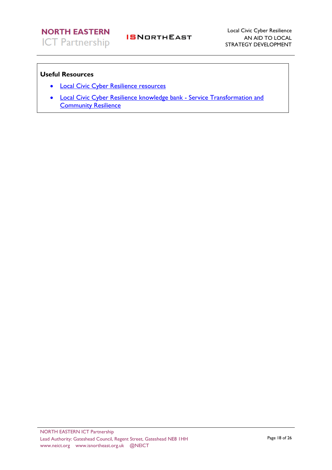- [Local Civic Cyber Resilience resources](http://istanduk.org/cyber-resilience/)
- [Local Civic Cyber Resilience knowledge bank](http://istanduk.org/knowledge-bank/) [Service Transformation and](http://istanduk.org/service-transformation-community-resilience/)  **[Community Resilience](http://istanduk.org/service-transformation-community-resilience/)**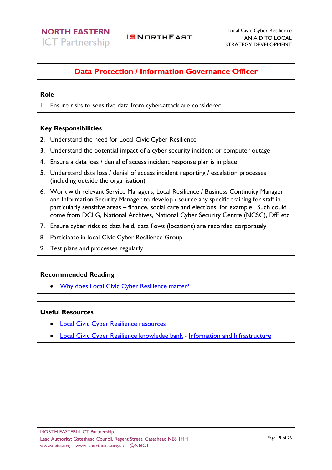### <span id="page-18-0"></span>**Data Protection / Information Governance Officer**

### **Role**

1. Ensure risks to sensitive data from cyber-attack are considered

### **Key Responsibilities**

- 2. Understand the need for Local Civic Cyber Resilience
- 3. Understand the potential impact of a cyber security incident or computer outage
- 4. Ensure a data loss / denial of access incident response plan is in place
- 5. Understand data loss / denial of access incident reporting / escalation processes (including outside the organisation)
- 6. Work with relevant Service Managers, Local Resilience / Business Continuity Manager and Information Security Manager to develop / source any specific training for staff in particularly sensitive areas – finance, social care and elections, for example. Such could come from DCLG, National Archives, National Cyber Security Centre (NCSC), DfE etc.
- 7. Ensure cyber risks to data held, data flows (locations) are recorded corporately
- 8. Participate in local Civic Cyber Resilience Group
- 9. Test plans and processes regularly

### **Recommended Reading**

• [Why does Local Civic Cyber Resilience matter?](http://istanduk.org/why-does-local-civic-cyber-resilience-matter/)

- **[Local Civic Cyber Resilience resources](http://istanduk.org/cyber-resilience/)**
- [Local Civic Cyber Resilience knowledge bank](http://istanduk.org/knowledge-bank/) [Information and Infrastructure](http://istanduk.org/information-infrastructure/)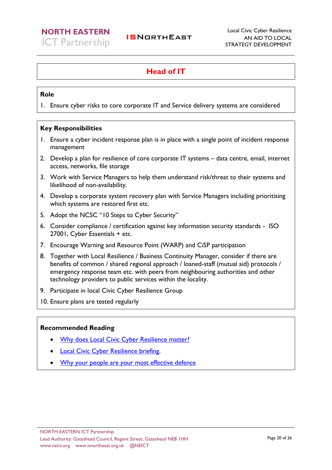### <span id="page-19-0"></span>**Head of IT**

### **Role**

1. Ensure cyber risks to core corporate IT and Service delivery systems are considered

### **Key Responsibilities**

- 1. Ensure a cyber incident response plan is in place with a single point of incident response management
- 2. Develop a plan for resilience of core corporate IT systems data centre, email, internet access, networks, file storage
- 3. Work with Service Managers to help them understand risk/threat to their systems and likelihood of non-availability.
- 4. Develop a corporate system recovery plan with Service Managers including prioritising which systems are restored first etc.
- 5. Adopt the NCSC "10 Steps to Cyber Security"
- 6. Consider compliance / certification against key information security standards ISO 27001, Cyber Essentials + etc.
- 7. Encourage Warning and Resource Point (WARP) and CiSP participation
- 8. Together with Local Resilience / Business Continuity Manager, consider if there are benefits of common / shared regional approach / loaned-staff (mutual aid) protocols / emergency response team etc. with peers from neighbouring authorities and other technology providers to public services within the locality.
- 9. Participate in local Civic Cyber Resilience Group
- 10. Ensure plans are tested regularly

### **Recommended Reading**

- [Why does Local Civic Cyber Resilience matter?](http://istanduk.org/why-does-local-civic-cyber-resilience-matter/)
- **[Local Civic Cyber Resilience briefing.](https://www.gov.uk/government/uploads/system/uploads/attachment_data/file/429190/Understanding_local_cyber_resilience.pdf)**
- [Why your people are your most effective defence](http://protocolpolicy.com/wp-content/uploads/2017/10/Cyber-security-Why-your-people-are-your-most-effective-defence.pdf)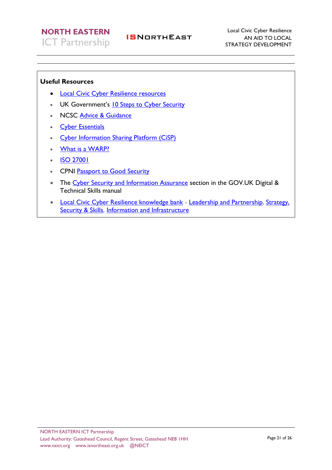- [Local Civic Cyber Resilience resources](http://istanduk.org/cyber-resilience/)
- UK Government's [10 Steps to Cyber Security](https://www.ncsc.gov.uk/guidance/10-steps-cyber-security)
- NCSC [Advice & Guidance](https://www.ncsc.gov.uk/index/guidance)
- [Cyber Essentials](https://www.gov.uk/government/publications/cyber-essentials-scheme-overview)
- [Cyber Information Sharing Platform \(CiSP\)](https://www.ncsc.gov.uk/cisp)
- [What is a WARP?](https://www.ncsc.gov.uk/articles/what-warp)
- **[ISO 27001](https://www.iso.org/isoiec-27001-information-security.html)**
- CPNI [Passport to Good Security](https://www.cpni.gov.uk/managing-my-asset/leadership-in-security/board-security-passport)
- The [Cyber Security and Information Assurance](https://www.gov.uk/government/collections/digital-data-and-technology-job-roles-in-government) section in the GOV.UK Digital & Technical Skills manual
- [Local Civic Cyber Resilience knowledge bank](http://istanduk.org/knowledge-bank/) [Leadership and Partnership,](http://istanduk.org/leadership-and-partnerships/) Strategy, [Security & Skills,](http://istanduk.org/strategy-security-skills/) [Information and Infrastructure](http://istanduk.org/information-infrastructure/)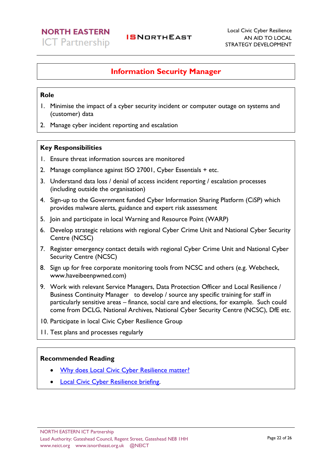### <span id="page-21-0"></span>**Information Security Manager**

### **Role**

- 1. Minimise the impact of a cyber security incident or computer outage on systems and (customer) data
- 2. Manage cyber incident reporting and escalation

### **Key Responsibilities**

- 1. Ensure threat information sources are monitored
- 2. Manage compliance against ISO 27001, Cyber Essentials + etc.
- 3. Understand data loss / denial of access incident reporting / escalation processes (including outside the organisation)
- 4. Sign-up to the Government funded Cyber Information Sharing Platform (CiSP) which provides malware alerts, guidance and expert risk assessment
- 5. Join and participate in local Warning and Resource Point (WARP)
- 6. Develop strategic relations with regional Cyber Crime Unit and National Cyber Security Centre (NCSC)
- 7. Register emergency contact details with regional Cyber Crime Unit and National Cyber Security Centre (NCSC)
- 8. Sign up for free corporate monitoring tools from NCSC and others (e.g. Webcheck, www.haveibeenpwned.com)
- 9. Work with relevant Service Managers, Data Protection Officer and Local Resilience / Business Continuity Manager to develop / source any specific training for staff in particularly sensitive areas – finance, social care and elections, for example. Such could come from DCLG, National Archives, National Cyber Security Centre (NCSC), DfE etc.
- 10. Participate in local Civic Cyber Resilience Group
- 11. Test plans and processes regularly

### **Recommended Reading**

- [Why does Local Civic Cyber Resilience matter?](http://istanduk.org/why-does-local-civic-cyber-resilience-matter/)
- [Local Civic Cyber Resilience briefing.](https://www.gov.uk/government/uploads/system/uploads/attachment_data/file/429190/Understanding_local_cyber_resilience.pdf)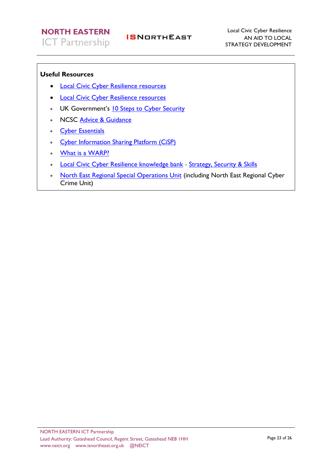### **Useful Resources**

- [Local Civic Cyber Resilience resources](http://istanduk.org/cyber-resilience/)
- [Local Civic Cyber Resilience resources](http://istanduk.org/cyber-resilience/)
- UK Government's [10 Steps to Cyber Security](https://www.ncsc.gov.uk/guidance/10-steps-cyber-security)
- NCSC [Advice & Guidance](https://www.ncsc.gov.uk/index/guidance)
- [Cyber Essentials](https://www.gov.uk/government/publications/cyber-essentials-scheme-overview)
- [Cyber Information Sharing Platform \(CiSP\)](https://www.ncsc.gov.uk/cisp)
- [What is a WARP?](https://www.ncsc.gov.uk/articles/what-warp)
- [Local Civic Cyber Resilience knowledge bank](http://istanduk.org/knowledge-bank/) [Strategy, Security & Skills](http://istanduk.org/strategy-security-skills/)

**ISNORTHEAST** 

• [North East Regional Special Operations Unit](https://www.nersou.org.uk/home/about-us.aspx) (including North East Regional Cyber Crime Unit)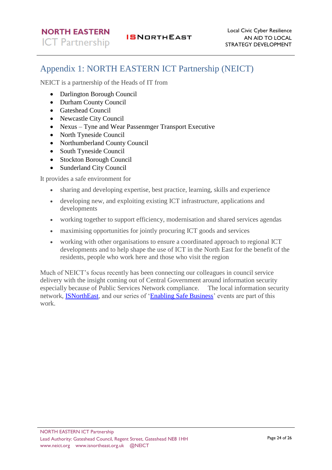## <span id="page-23-0"></span>Appendix 1: NORTH EASTERN ICT Partnership (NEICT)

NEICT is a partnership of the Heads of IT from

- Darlington Borough Council
- Durham County Council
- Gateshead Council
- Newcastle City Council
- Nexus Tyne and Wear Passenmger Transport Executive
- North Tyneside Council
- Northumberland County Council
- South Tyneside Council
- Stockton Borough Council
- Sunderland City Council

It provides a safe environment for

- sharing and developing expertise, best practice, learning, skills and experience
- developing new, and exploiting existing ICT infrastructure, applications and developments
- working together to support efficiency, modernisation and shared services agendas
- maximising opportunities for jointly procuring ICT goods and services
- working with other organisations to ensure a coordinated approach to regional ICT developments and to help shape the use of ICT in the North East for the benefit of the residents, people who work here and those who visit the region

Much of NEICT's focus recently has been connecting our colleagues in council service delivery with the insight coming out of Central Government around information security especially because of Public Services Network compliance. The local information security network, [ISNorthEast,](http://www.isnortheast.org.uk/) and our series of ['Enabling Safe Business'](http://www.twict.gov.uk/enabling.html) events are part of this work.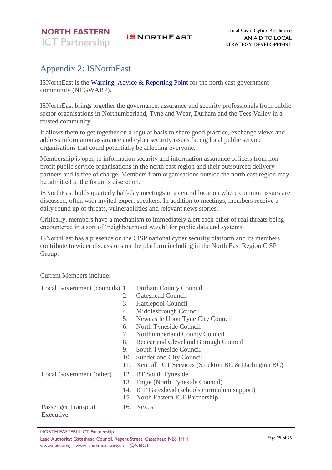# <span id="page-24-0"></span>Appendix 2: ISNorthEast

ISNorthEast is the [Warning, Advice & Reporting Point](http://www.warp.gov.uk/) for the north east government community (NEGWARP).

ISNorthEast brings together the governance, assurance and security professionals from public sector organisations in Northumberland, Tyne and Wear, Durham and the Tees Valley in a trusted community.

It allows them to get together on a regular basis to share good practice, exchange views and address information assurance and cyber security issues facing local public service organisations that could potentially be affecting everyone.

Membership is open to information security and information assurance officers from nonprofit public service organisations in the north east region and their outsourced delivery partners and is free of charge. Members from organisations outside the north east region may be admitted at the forum's discretion.

ISNorthEast holds quarterly half-day meetings in a central location where common issues are discussed, often with invited expert speakers. In addition to meetings, members receive a daily round up of threats, vulnerabilities and relevant news stories.

Critically, members have a mechanism to immediately alert each other of real threats being encountered in a sort of 'neighbourhood watch' for public data and systems.

ISNorthEast has a presence on the CiSP national cyber security platform and its members contribute to wider discussions on the platform including in the North East Region CiSP Group.

Current Members include:

Local Government (councils) 1. Durham County Council

- 2. Gateshead Council
- 3. Hartlepool Council
- 4. Middlesbrough Council
	- 5. Newcastle Upon Tyne City Council
- 6. North Tyneside Council
- 7. Northumberland County Council
- 8. Redcar and Cleveland Borough Council
- 9. South Tyneside Council
- 10. Sunderland City Council
- 11. Xentrall ICT Services (Stockton BC & Darlington BC)

Local Government (other) 12. BT South Tyneside

- 
- 13. Engie (North Tyneside Council)
- 14. ICT Gateshead (schools curriculum support)
- 15. North Eastern ICT Partnership

Passenger Transport Executive

16. Nexus